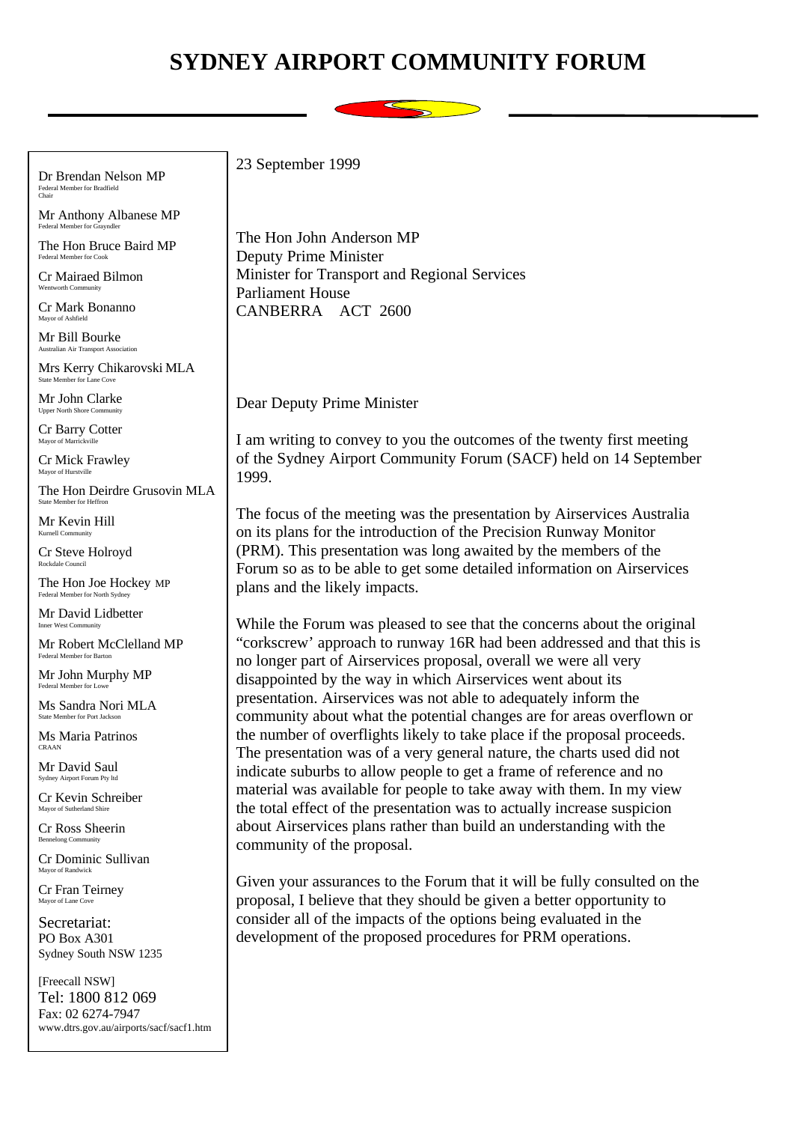## **SYDNEY AIRPORT COMMUNITY FORUM**



Dr Brendan Nelson MP Federal Member for Bradfield Chair

Mr Anthony Albanese MP Federal Member for Grayndler

The Hon Bruce Baird MP Federal Member for Cook

Cr Mairaed Bilmon Wentworth Community

Cr Mark Bonanno Mayor of Ashfie

Mr Bill Bourke Australian Air Transport Association

Mrs Kerry Chikarovski MLA State Member for Lane Cove

Mr John Clarke Upper North Shore Community

Cr Barry Cotter Mayor of Marr

Cr Mick Frawley Mayor of Hurstville

The Hon Deirdre Grusovin MLA State Member for Heffron

Mr Kevin Hill Kurnell Community

Cr Steve Holroyd Rockdale Council

The Hon Joe Hockey MP Federal Member for North Sydney

Mr David Lidbetter Inner West Community

Mr Robert McClelland MP Federal Member for Barton

Mr John Murphy MP Federal Member for Low

Ms Sandra Nori MLA State Member for Port Jackson

Ms Maria Patrinos CRAAN

Mr David Saul Sydney Airport Forum Pty It

Cr Kevin Schreiber Mayor of Sutherland Shire

Cr Ross Sheerin Bennelong Comp

Cr Dominic Sullivan Mayor of Randwick

Cr Fran Teirney Mayor of Lane Cove

Secretariat: PO Box A301 Sydney South NSW 1235

[Freecall NSW] Tel: 1800 812 069 Fax: 02 6274-7947 www.dtrs.gov.au/airports/sacf/sacf1.htm 23 September 1999

The Hon John Anderson MP Deputy Prime Minister Minister for Transport and Regional Services Parliament House CANBERRA ACT 2600

Dear Deputy Prime Minister

I am writing to convey to you the outcomes of the twenty first meeting of the Sydney Airport Community Forum (SACF) held on 14 September 1999.

The focus of the meeting was the presentation by Airservices Australia on its plans for the introduction of the Precision Runway Monitor (PRM). This presentation was long awaited by the members of the Forum so as to be able to get some detailed information on Airservices plans and the likely impacts.

While the Forum was pleased to see that the concerns about the original "corkscrew' approach to runway 16R had been addressed and that this is no longer part of Airservices proposal, overall we were all very disappointed by the way in which Airservices went about its presentation. Airservices was not able to adequately inform the community about what the potential changes are for areas overflown or the number of overflights likely to take place if the proposal proceeds. The presentation was of a very general nature, the charts used did not indicate suburbs to allow people to get a frame of reference and no material was available for people to take away with them. In my view the total effect of the presentation was to actually increase suspicion about Airservices plans rather than build an understanding with the community of the proposal.

Given your assurances to the Forum that it will be fully consulted on the proposal, I believe that they should be given a better opportunity to consider all of the impacts of the options being evaluated in the development of the proposed procedures for PRM operations.